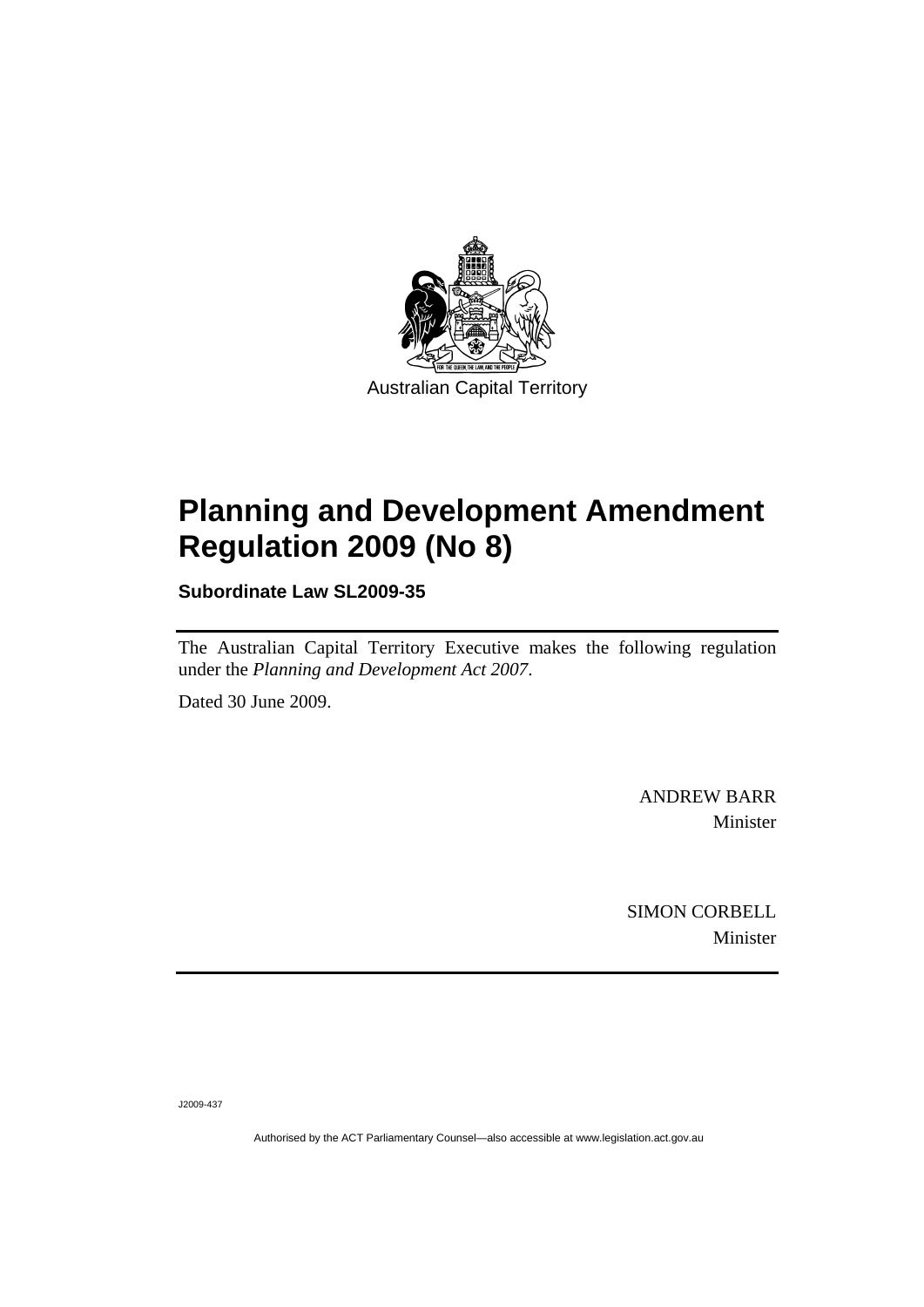

# **[Planning and Development Amendment](#page-2-0)  [Regulation 2009 \(No 8\)](#page-2-0)**

**Subordinate Law SL2009-35** 

The Australian Capital Territory Executive makes the following regulation under the *[Planning and Development Act 2007](#page-2-0)*.

Dated 30 June 2009.

ANDREW BARR Minister

SIMON CORBELL Minister

J2009-437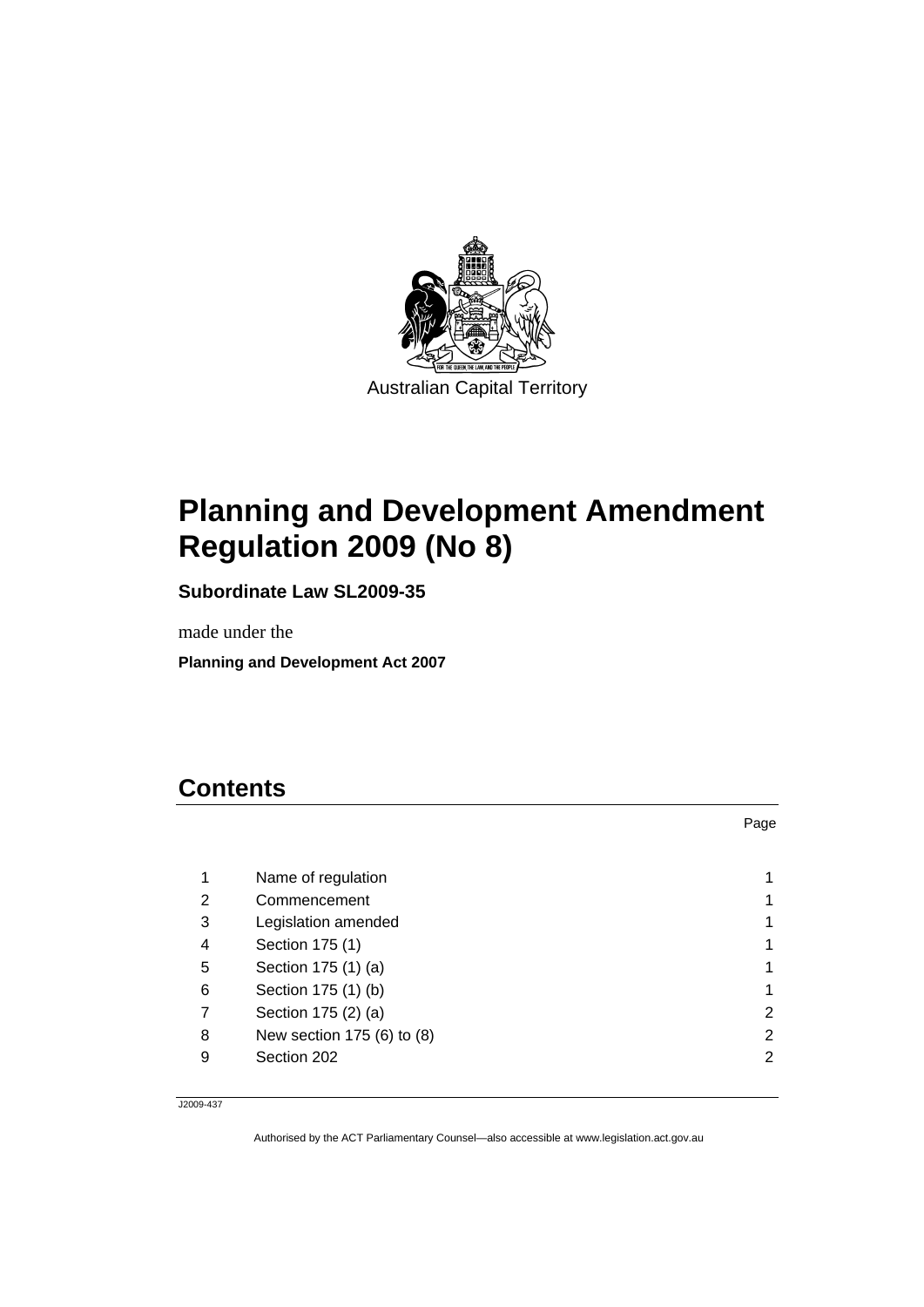<span id="page-2-0"></span>

# **Planning and Development Amendment Regulation 2009 (No 8)**

**Subordinate Law SL2009-35** 

made under the

**Planning and Development Act 2007** 

# **Contents**

|   |                            | Page |
|---|----------------------------|------|
|   |                            |      |
| 1 | Name of regulation         |      |
| 2 | Commencement               |      |
| 3 | Legislation amended        |      |
| 4 | Section 175 (1)            |      |
| 5 | Section 175 (1) (a)        |      |
| 6 | Section 175 (1) (b)        |      |
| 7 | Section 175 (2) (a)        | 2    |
| 8 | New section 175 (6) to (8) | 2    |
| 9 | Section 202                | 2    |

J2009-437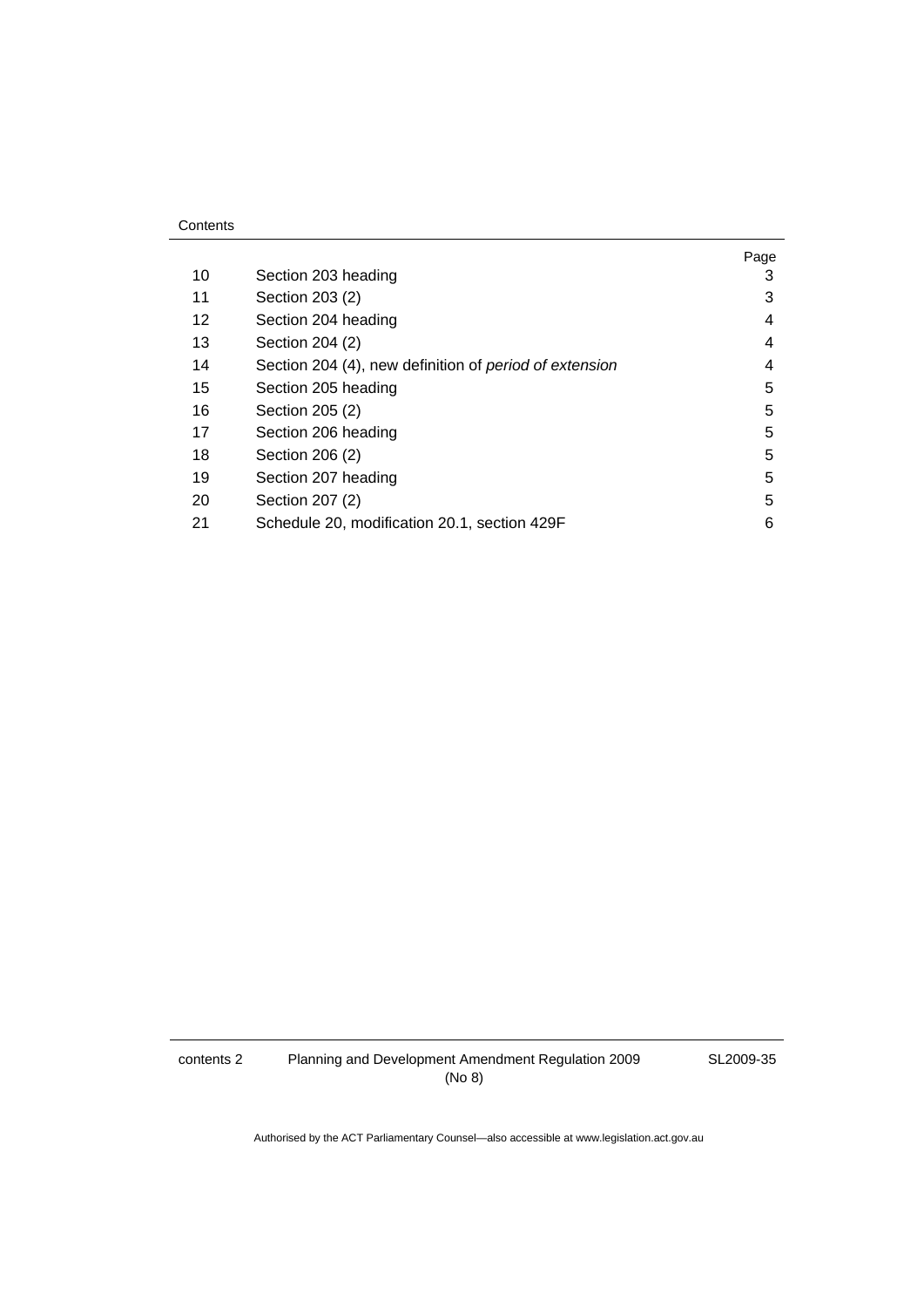|    |                                                        | Page |
|----|--------------------------------------------------------|------|
| 10 | Section 203 heading                                    | 3    |
| 11 | Section 203 (2)                                        | 3    |
| 12 | Section 204 heading                                    | 4    |
| 13 | Section 204 (2)                                        | 4    |
| 14 | Section 204 (4), new definition of period of extension | 4    |
| 15 | Section 205 heading                                    | 5    |
| 16 | Section 205 (2)                                        | 5    |
| 17 | Section 206 heading                                    | 5    |
| 18 | Section 206 (2)                                        | 5    |
| 19 | Section 207 heading                                    | 5    |
| 20 | Section 207 (2)                                        | 5    |
| 21 | Schedule 20, modification 20.1, section 429F           | 6    |

SL2009-35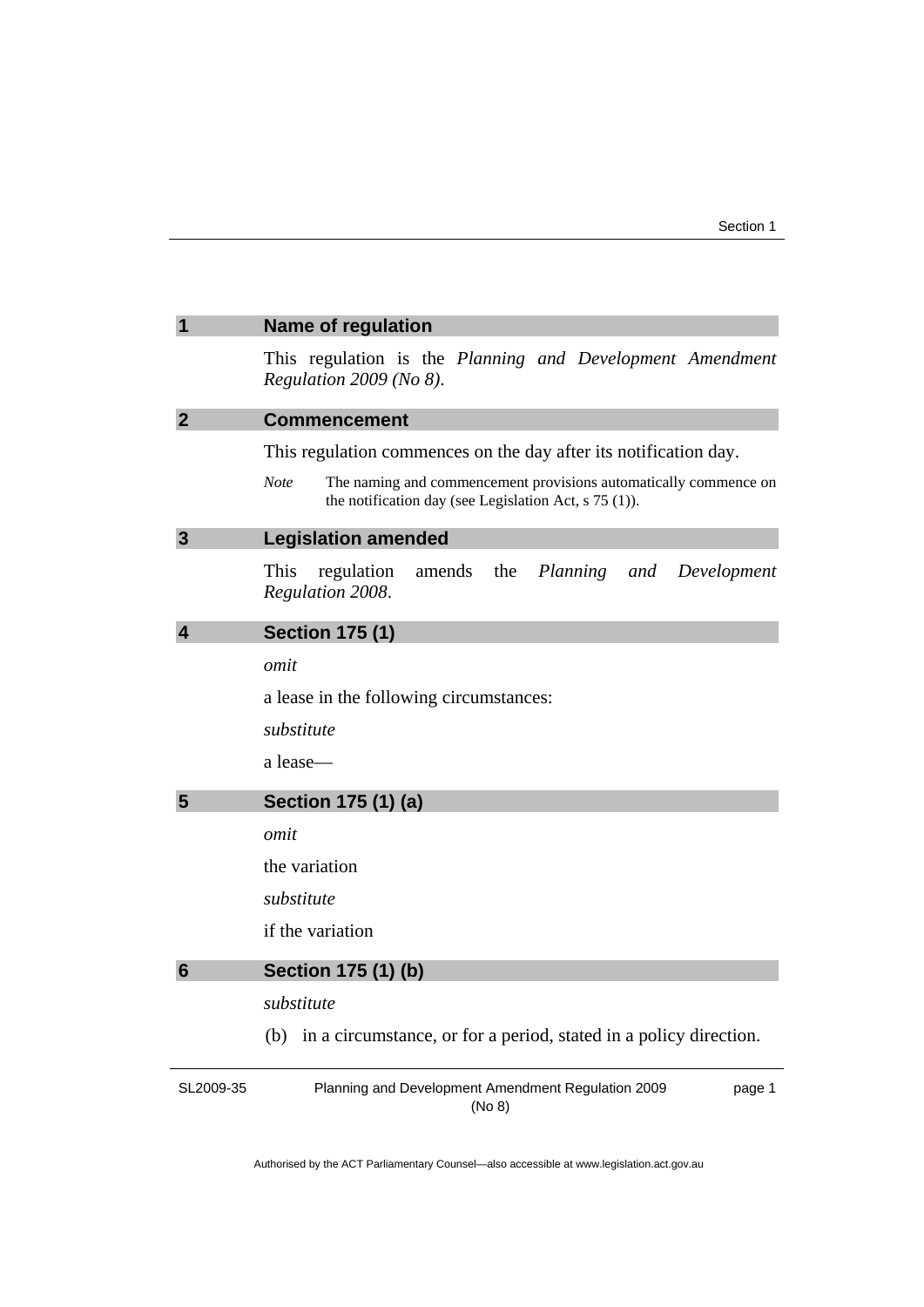<span id="page-4-0"></span>

| 1               | <b>Name of regulation</b>                                                                                                           |
|-----------------|-------------------------------------------------------------------------------------------------------------------------------------|
|                 | This regulation is the Planning and Development Amendment<br>Regulation $2009$ (No 8).                                              |
| $\overline{2}$  | <b>Commencement</b>                                                                                                                 |
|                 | This regulation commences on the day after its notification day.                                                                    |
|                 | Note<br>The naming and commencement provisions automatically commence on<br>the notification day (see Legislation Act, $s$ 75 (1)). |
| $\overline{3}$  | <b>Legislation amended</b>                                                                                                          |
|                 | the<br>This<br>regulation<br>amends<br>Planning<br>and<br>Development<br>Regulation 2008.                                           |
| 4               | <b>Section 175 (1)</b>                                                                                                              |
|                 | omit                                                                                                                                |
|                 | a lease in the following circumstances:                                                                                             |
|                 | substitute                                                                                                                          |
|                 | a lease-                                                                                                                            |
|                 |                                                                                                                                     |
| 5               | Section 175 (1) (a)                                                                                                                 |
|                 | omit                                                                                                                                |
|                 | the variation                                                                                                                       |
|                 | substitute                                                                                                                          |
|                 | if the variation                                                                                                                    |
| $6\phantom{1}6$ | Section 175 (1) (b)                                                                                                                 |
|                 | substitute                                                                                                                          |
|                 | in a circumstance, or for a period, stated in a policy direction.<br>(b)                                                            |
| SL2009-35       | Planning and Development Amendment Regulation 2009<br>page 1<br>(No 8)                                                              |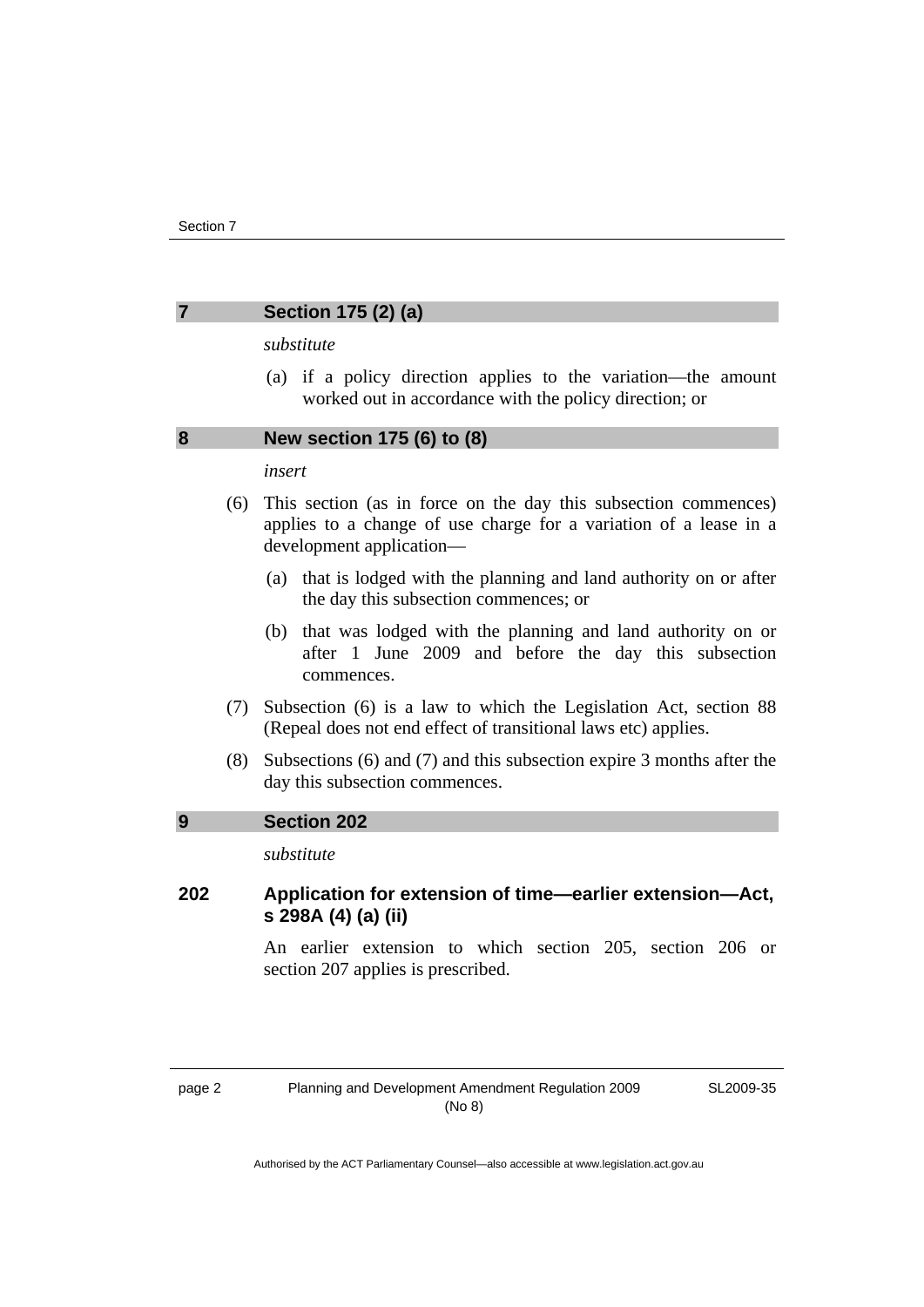# <span id="page-5-0"></span>**7 Section 175 (2) (a)**

#### *substitute*

 (a) if a policy direction applies to the variation—the amount worked out in accordance with the policy direction; or

#### **8 New section 175 (6) to (8)**

#### *insert*

- (6) This section (as in force on the day this subsection commences) applies to a change of use charge for a variation of a lease in a development application—
	- (a) that is lodged with the planning and land authority on or after the day this subsection commences; or
	- (b) that was lodged with the planning and land authority on or after 1 June 2009 and before the day this subsection commences.
- (7) Subsection (6) is a law to which the Legislation Act, section 88 (Repeal does not end effect of transitional laws etc) applies.
- (8) Subsections (6) and (7) and this subsection expire 3 months after the day this subsection commences.

#### **9 Section 202**

*substitute* 

# **202 Application for extension of time—earlier extension—Act, s 298A (4) (a) (ii)**

An earlier extension to which section 205, section 206 or section 207 applies is prescribed.

SL2009-35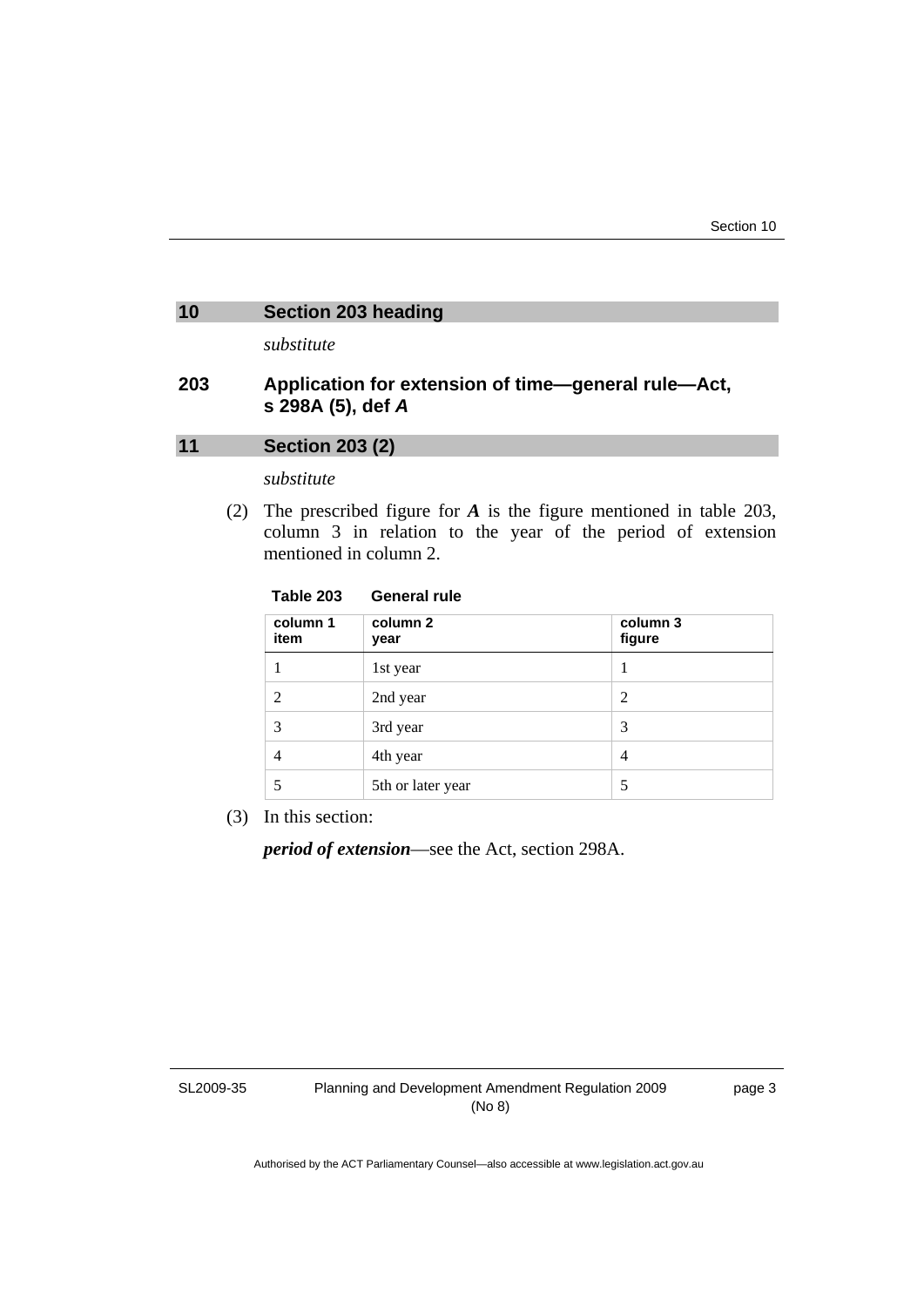# <span id="page-6-0"></span>**10 Section 203 heading**

*substitute* 

# **203 Application for extension of time—general rule—Act, s 298A (5), def** *A*

# **11 Section 203 (2)**

*substitute* 

 (2) The prescribed figure for *A* is the figure mentioned in table 203, column 3 in relation to the year of the period of extension mentioned in column 2.

#### **Table 203 General rule**

| column 1<br>item | column 2<br>year  | column 3<br>figure |
|------------------|-------------------|--------------------|
|                  | 1st year          | I                  |
| 2                | 2nd year          | 2                  |
| 3                | 3rd year          | 3                  |
| $\overline{4}$   | 4th year          | 4                  |
|                  | 5th or later year | 5                  |

(3) In this section:

*period of extension*—see the Act, section 298A.

SL2009-35

page 3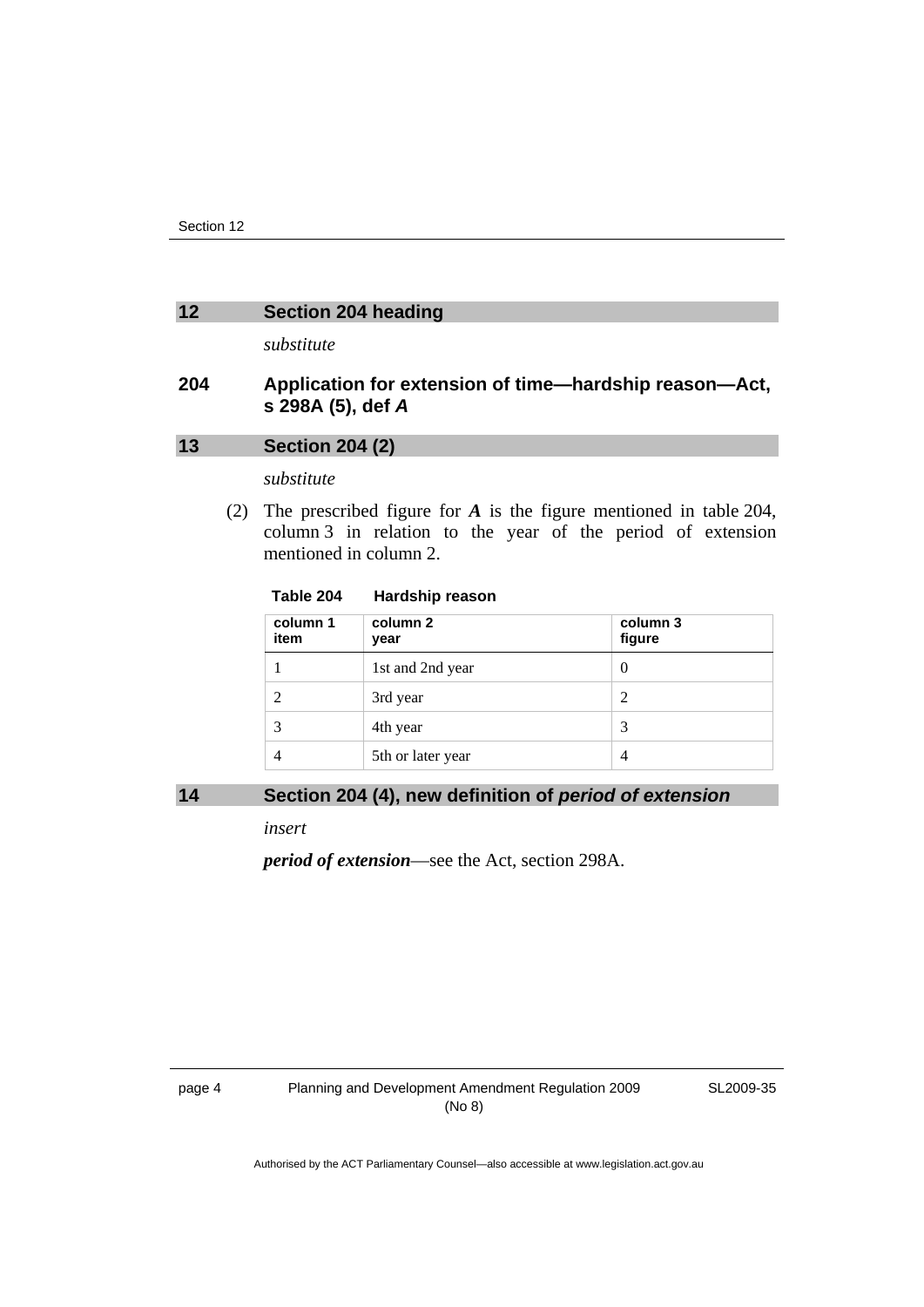#### <span id="page-7-0"></span>**12 Section 204 heading**

*substitute* 

# **204 Application for extension of time—hardship reason—Act, s 298A (5), def** *A*

# **13 Section 204 (2)**

*substitute* 

 (2) The prescribed figure for *A* is the figure mentioned in table 204, column 3 in relation to the year of the period of extension mentioned in column 2.

#### **Table 204 Hardship reason**

| column 1<br>item | column 2<br>year  | column 3<br>figure |
|------------------|-------------------|--------------------|
|                  | 1st and 2nd year  | 0                  |
| 2                | 3rd year          | $\mathfrak{D}$     |
| 3                | 4th year          | 3                  |
| $\overline{4}$   | 5th or later year | 4                  |

### 14 Section 204 (4), new definition of *period* of extension

*insert* 

*period of extension*—see the Act, section 298A.

SL2009-35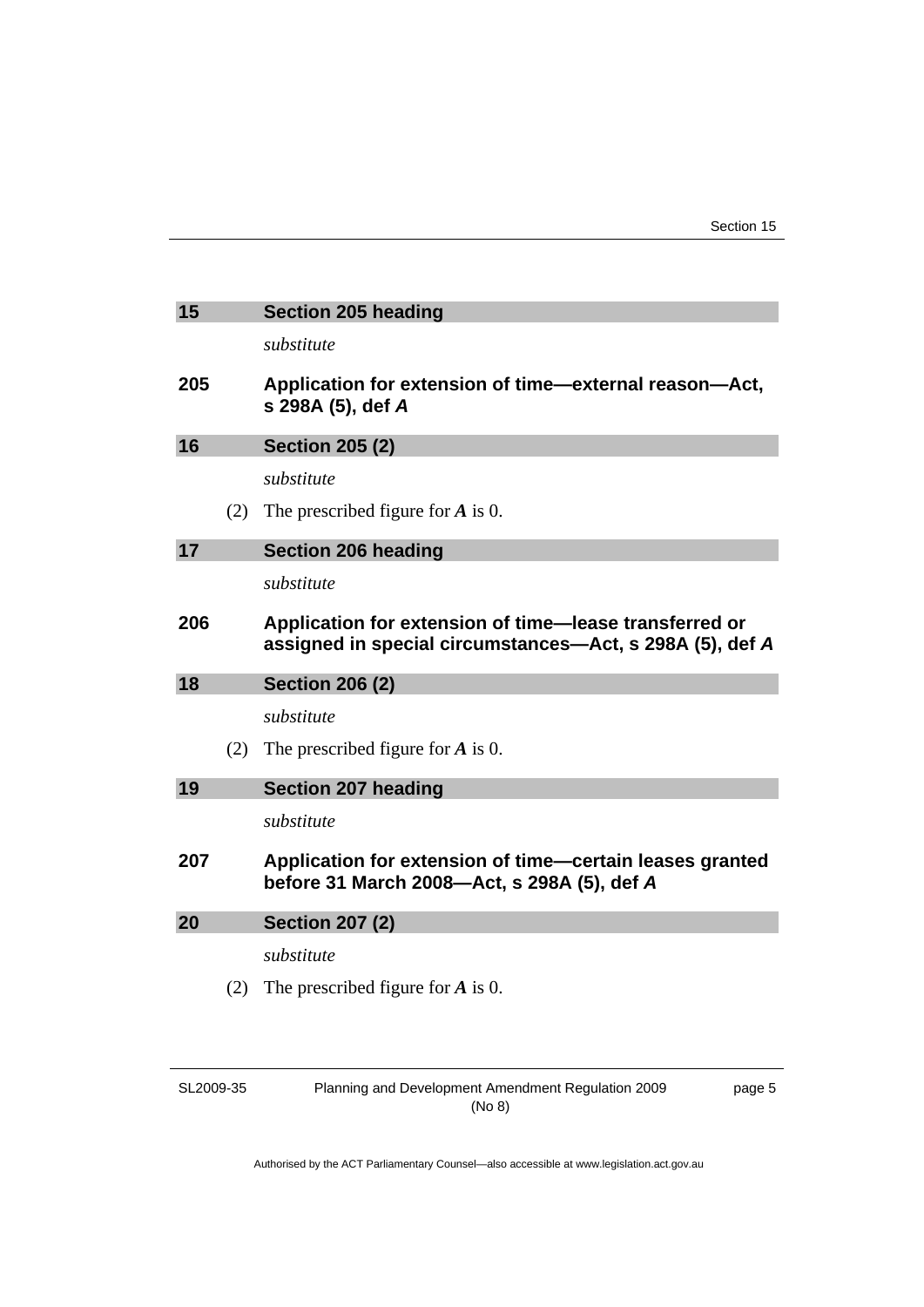<span id="page-8-0"></span>

| 15  |     | <b>Section 205 heading</b>                                                                                         |
|-----|-----|--------------------------------------------------------------------------------------------------------------------|
|     |     | substitute                                                                                                         |
| 205 |     | Application for extension of time—external reason—Act,<br>s 298A (5), def A                                        |
| 16  |     | <b>Section 205 (2)</b>                                                                                             |
|     |     | substitute                                                                                                         |
|     | (2) | The prescribed figure for $\vec{A}$ is 0.                                                                          |
| 17  |     | <b>Section 206 heading</b>                                                                                         |
|     |     | substitute                                                                                                         |
| 206 |     | Application for extension of time-lease transferred or<br>assigned in special circumstances—Act, s 298A (5), def A |
| 18  |     | <b>Section 206 (2)</b>                                                                                             |
|     |     | substitute                                                                                                         |
|     | (2) | The prescribed figure for $A$ is 0.                                                                                |
| 19  |     |                                                                                                                    |
|     |     | <b>Section 207 heading</b>                                                                                         |
|     |     | substitute                                                                                                         |
| 207 |     | Application for extension of time—certain leases granted<br>before 31 March 2008-Act, s 298A (5), def A            |
| 20  |     | <b>Section 207 (2)</b>                                                                                             |
|     |     | substitute                                                                                                         |
|     | (2) | The prescribed figure for $\vec{A}$ is 0.                                                                          |

| SL2009-35 |
|-----------|
|-----------|

Planning and Development Amendment Regulation 2009 (No 8)

page 5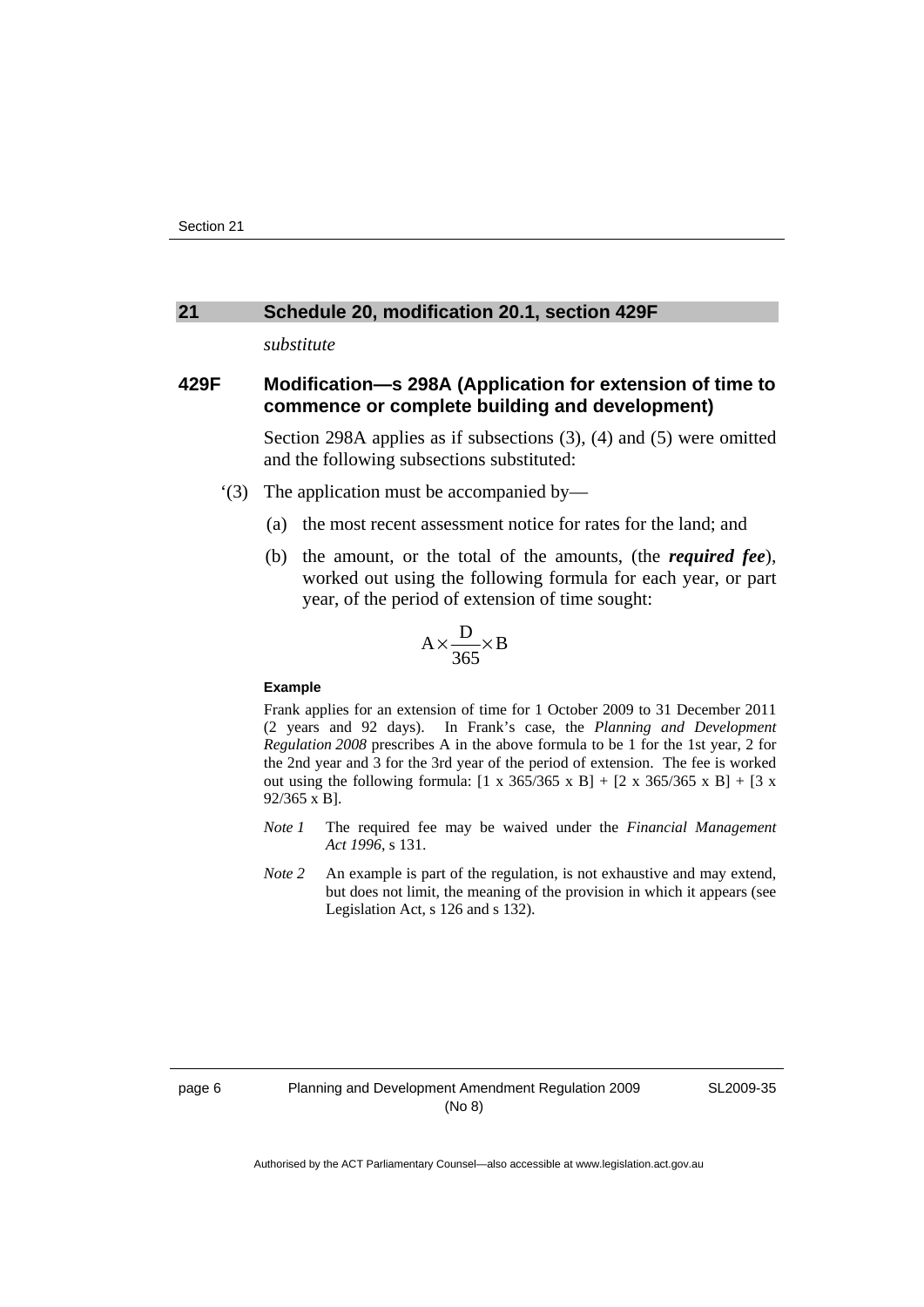#### <span id="page-9-0"></span>**21 Schedule 20, modification 20.1, section 429F**

*substitute* 

### **429F Modification—s 298A (Application for extension of time to commence or complete building and development)**

Section 298A applies as if subsections (3), (4) and (5) were omitted and the following subsections substituted:

- '(3) The application must be accompanied by—
	- (a) the most recent assessment notice for rates for the land; and
	- (b) the amount, or the total of the amounts, (the *required fee*), worked out using the following formula for each year, or part year, of the period of extension of time sought:

$$
A \times \frac{D}{365} \times B
$$

#### **Example**

Frank applies for an extension of time for 1 October 2009 to 31 December 2011 (2 years and 92 days). In Frank's case, the *Planning and Development Regulation 2008* prescribes A in the above formula to be 1 for the 1st year, 2 for the 2nd year and 3 for the 3rd year of the period of extension. The fee is worked out using the following formula:  $[1 \times 365/365 \times B] + [2 \times 365/365 \times B] + [3 \times$ 92/365 x B].

- *Note 1* The required fee may be waived under the *Financial Management Act 1996*, s 131.
- *Note 2* An example is part of the regulation, is not exhaustive and may extend, but does not limit, the meaning of the provision in which it appears (see Legislation Act, s 126 and s 132).

SL2009-35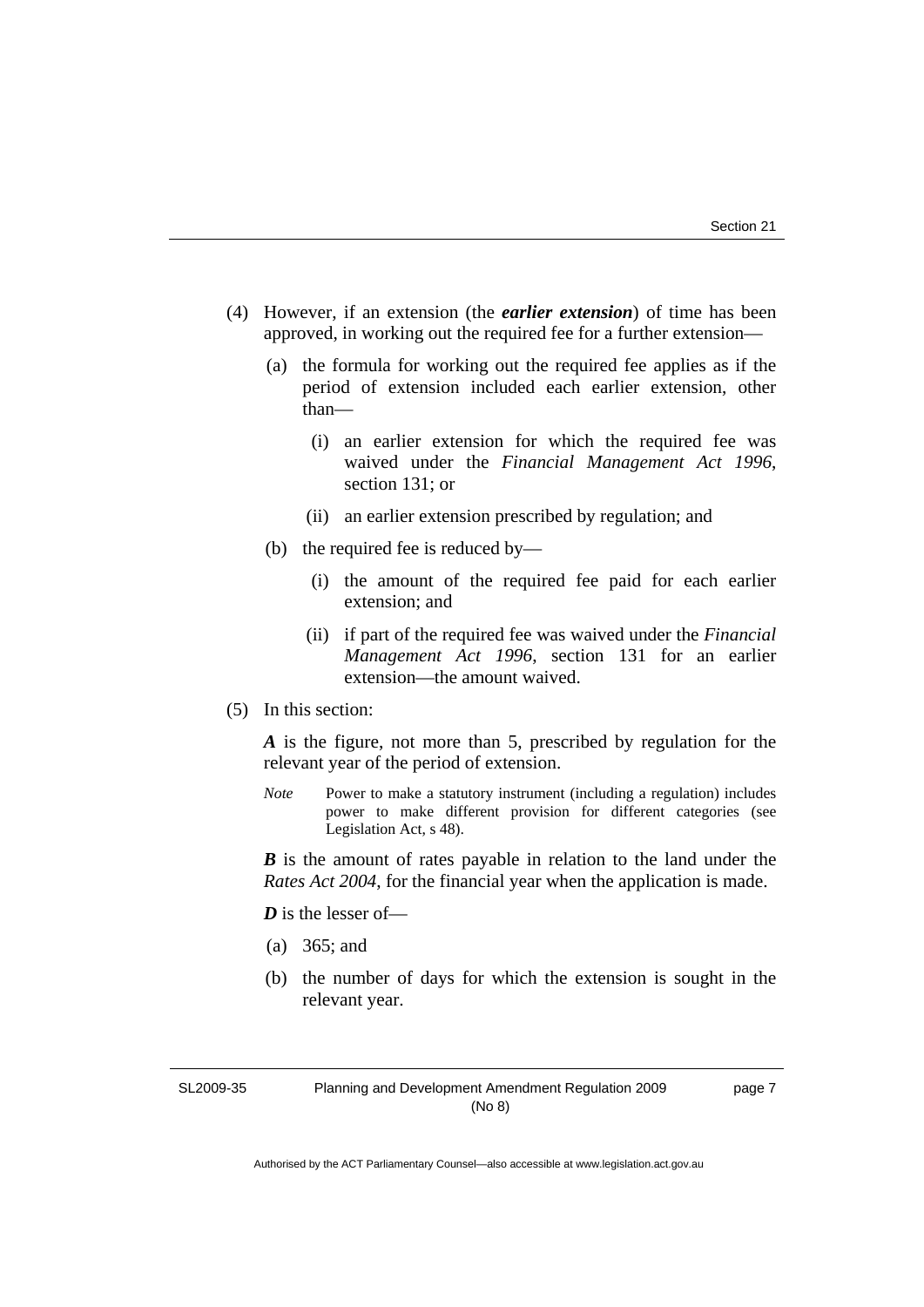- (4) However, if an extension (the *earlier extension*) of time has been approved, in working out the required fee for a further extension—
	- (a) the formula for working out the required fee applies as if the period of extension included each earlier extension, other than—
		- (i) an earlier extension for which the required fee was waived under the *Financial Management Act 1996*, section 131; or
		- (ii) an earlier extension prescribed by regulation; and
	- (b) the required fee is reduced by—
		- (i) the amount of the required fee paid for each earlier extension; and
		- (ii) if part of the required fee was waived under the *Financial Management Act 1996*, section 131 for an earlier extension—the amount waived.
- (5) In this section:

*A* is the figure, not more than 5, prescribed by regulation for the relevant year of the period of extension.

*Note* Power to make a statutory instrument (including a regulation) includes power to make different provision for different categories (see Legislation Act, s 48).

*B* is the amount of rates payable in relation to the land under the *Rates Act 2004*, for the financial year when the application is made.

*D* is the lesser of-

- (a) 365; and
- (b) the number of days for which the extension is sought in the relevant year.

SL2009-35

page 7

Planning and Development Amendment Regulation 2009 (No 8)